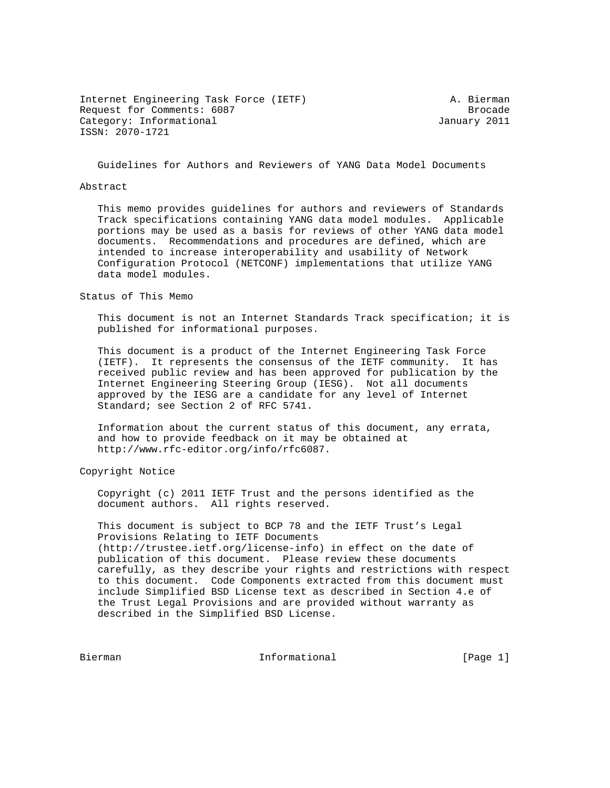Internet Engineering Task Force (IETF) A. Bierman Request for Comments: 6087 Brocade Category: Informational and Category: Informational ISSN: 2070-1721

Guidelines for Authors and Reviewers of YANG Data Model Documents

#### Abstract

 This memo provides guidelines for authors and reviewers of Standards Track specifications containing YANG data model modules. Applicable portions may be used as a basis for reviews of other YANG data model documents. Recommendations and procedures are defined, which are intended to increase interoperability and usability of Network Configuration Protocol (NETCONF) implementations that utilize YANG data model modules.

Status of This Memo

 This document is not an Internet Standards Track specification; it is published for informational purposes.

 This document is a product of the Internet Engineering Task Force (IETF). It represents the consensus of the IETF community. It has received public review and has been approved for publication by the Internet Engineering Steering Group (IESG). Not all documents approved by the IESG are a candidate for any level of Internet Standard; see Section 2 of RFC 5741.

 Information about the current status of this document, any errata, and how to provide feedback on it may be obtained at http://www.rfc-editor.org/info/rfc6087.

Copyright Notice

 Copyright (c) 2011 IETF Trust and the persons identified as the document authors. All rights reserved.

 This document is subject to BCP 78 and the IETF Trust's Legal Provisions Relating to IETF Documents (http://trustee.ietf.org/license-info) in effect on the date of publication of this document. Please review these documents carefully, as they describe your rights and restrictions with respect to this document. Code Components extracted from this document must include Simplified BSD License text as described in Section 4.e of the Trust Legal Provisions and are provided without warranty as described in the Simplified BSD License.

Bierman 11 - Informational 11 - Informational (Page 1)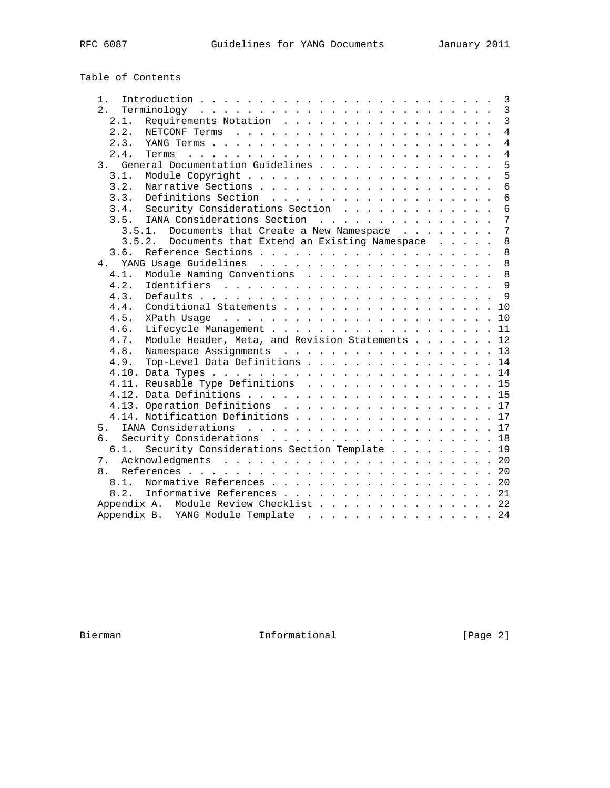# Table of Contents

| 1 <sub>1</sub> | $\mathbf{3}$                                                                                           |
|----------------|--------------------------------------------------------------------------------------------------------|
| 2.             | $\overline{3}$                                                                                         |
| 2.1.           | $\overline{3}$                                                                                         |
| 2.2.           | $\overline{4}$                                                                                         |
| 2.3.           | $\overline{4}$                                                                                         |
| 2.4.           | $\overline{4}$<br>a caracteristic and a caracteristic and a caracteristic and a caracteristic<br>Terms |
| 3.             | 5<br>General Documentation Guidelines                                                                  |
| 3.1.           | 5                                                                                                      |
| 3.2.           | $\overline{6}$                                                                                         |
| 3.3.           | $\overline{6}$                                                                                         |
| 3.4.           | Security Considerations Section<br>$\overline{6}$                                                      |
| 3.5.           | 7<br>IANA Considerations Section                                                                       |
|                | 3.5.1. Documents that Create a New Namespace<br>7                                                      |
|                | 3.5.2.<br>Documents that Extend an Existing Namespace<br>8                                             |
| 3.6.           | 8                                                                                                      |
| 4              | 8                                                                                                      |
| 4.1.           | Module Naming Conventions<br>8                                                                         |
| 4.2.           | $\overline{9}$                                                                                         |
| 4.3.           | $\mathsf{Q}$                                                                                           |
| 4.4.           | Conditional Statements 10                                                                              |
| 4.5.           |                                                                                                        |
| 4.6.           | Lifecycle Management 11                                                                                |
| 4.7.           | Module Header, Meta, and Revision Statements 12                                                        |
| 4.8.           | Namespace Assignments 13                                                                               |
| 4.9.           | Top-Level Data Definitions 14                                                                          |
|                |                                                                                                        |
|                | 4.11. Reusable Type Definitions 15                                                                     |
|                |                                                                                                        |
|                | 4.13. Operation Definitions 17                                                                         |
|                | 4.14. Notification Definitions 17                                                                      |
| 5.             |                                                                                                        |
| б.             | Security Considerations 18                                                                             |
| 6.1.           | Security Considerations Section Template 19                                                            |
| $7$ .          |                                                                                                        |
| 8.             |                                                                                                        |
| 8.1.           | Normative References 20                                                                                |
|                | 8.2. Informative References 21                                                                         |
|                | Appendix A. Module Review Checklist 22                                                                 |
|                | Appendix B. YANG Module Template 24                                                                    |
|                |                                                                                                        |

Bierman Informational [Page 2]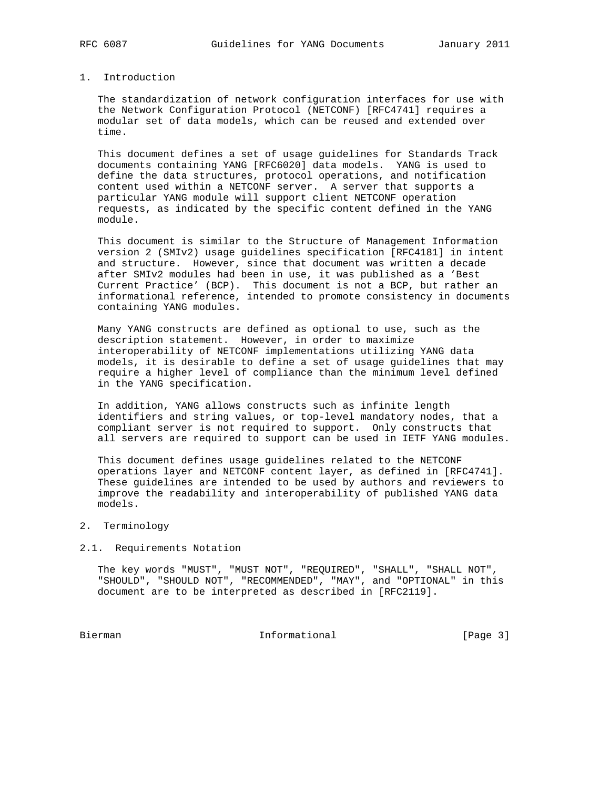# 1. Introduction

 The standardization of network configuration interfaces for use with the Network Configuration Protocol (NETCONF) [RFC4741] requires a modular set of data models, which can be reused and extended over time.

 This document defines a set of usage guidelines for Standards Track documents containing YANG [RFC6020] data models. YANG is used to define the data structures, protocol operations, and notification content used within a NETCONF server. A server that supports a particular YANG module will support client NETCONF operation requests, as indicated by the specific content defined in the YANG module.

 This document is similar to the Structure of Management Information version 2 (SMIv2) usage guidelines specification [RFC4181] in intent and structure. However, since that document was written a decade after SMIv2 modules had been in use, it was published as a 'Best Current Practice' (BCP). This document is not a BCP, but rather an informational reference, intended to promote consistency in documents containing YANG modules.

 Many YANG constructs are defined as optional to use, such as the description statement. However, in order to maximize interoperability of NETCONF implementations utilizing YANG data models, it is desirable to define a set of usage guidelines that may require a higher level of compliance than the minimum level defined in the YANG specification.

 In addition, YANG allows constructs such as infinite length identifiers and string values, or top-level mandatory nodes, that a compliant server is not required to support. Only constructs that all servers are required to support can be used in IETF YANG modules.

 This document defines usage guidelines related to the NETCONF operations layer and NETCONF content layer, as defined in [RFC4741]. These guidelines are intended to be used by authors and reviewers to improve the readability and interoperability of published YANG data models.

### 2. Terminology

#### 2.1. Requirements Notation

 The key words "MUST", "MUST NOT", "REQUIRED", "SHALL", "SHALL NOT", "SHOULD", "SHOULD NOT", "RECOMMENDED", "MAY", and "OPTIONAL" in this document are to be interpreted as described in [RFC2119].

Bierman 11 - Informational 11 - Informational [Page 3]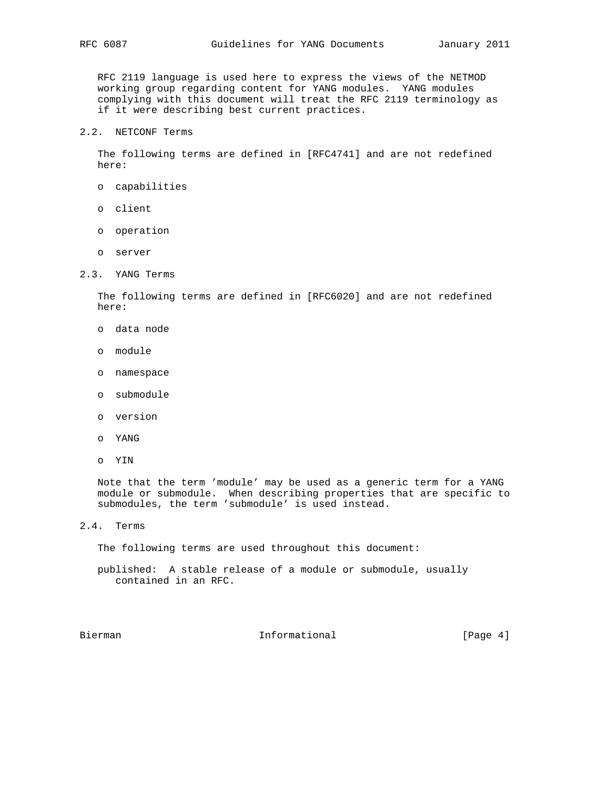RFC 2119 language is used here to express the views of the NETMOD working group regarding content for YANG modules. YANG modules complying with this document will treat the RFC 2119 terminology as if it were describing best current practices.

2.2. NETCONF Terms

 The following terms are defined in [RFC4741] and are not redefined here:

- o capabilities
- o client
- o operation
- o server
- 2.3. YANG Terms

 The following terms are defined in [RFC6020] and are not redefined here:

- o data node
- o module
- o namespace
- o submodule
- o version
- o YANG
- o YIN

 Note that the term 'module' may be used as a generic term for a YANG module or submodule. When describing properties that are specific to submodules, the term 'submodule' is used instead.

2.4. Terms

The following terms are used throughout this document:

 published: A stable release of a module or submodule, usually contained in an RFC.

Bierman 11 Informational 12 | Page 4]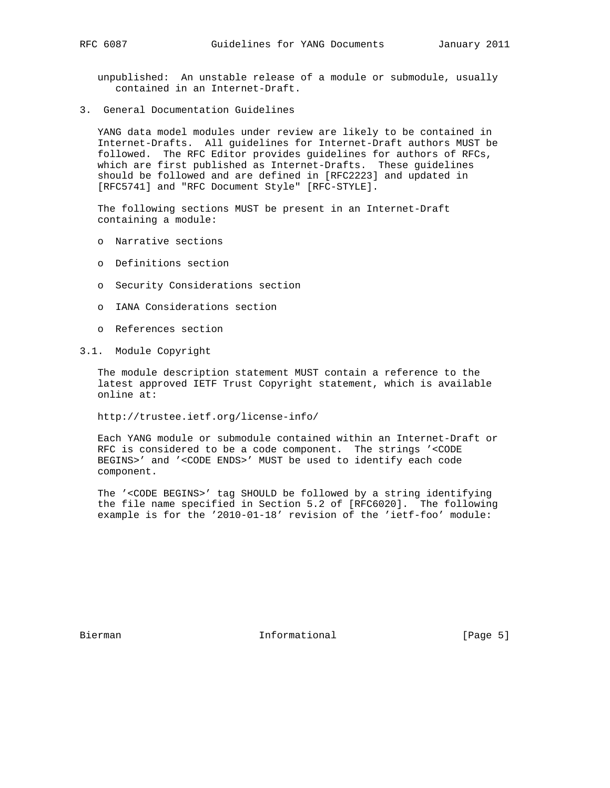unpublished: An unstable release of a module or submodule, usually contained in an Internet-Draft.

3. General Documentation Guidelines

 YANG data model modules under review are likely to be contained in Internet-Drafts. All guidelines for Internet-Draft authors MUST be followed. The RFC Editor provides guidelines for authors of RFCs, which are first published as Internet-Drafts. These guidelines should be followed and are defined in [RFC2223] and updated in [RFC5741] and "RFC Document Style" [RFC-STYLE].

 The following sections MUST be present in an Internet-Draft containing a module:

- o Narrative sections
- o Definitions section
- o Security Considerations section
- o IANA Considerations section
- o References section
- 3.1. Module Copyright

 The module description statement MUST contain a reference to the latest approved IETF Trust Copyright statement, which is available online at:

http://trustee.ietf.org/license-info/

 Each YANG module or submodule contained within an Internet-Draft or RFC is considered to be a code component. The strings '<CODE BEGINS>' and '<CODE ENDS>' MUST be used to identify each code component.

 The '<CODE BEGINS>' tag SHOULD be followed by a string identifying the file name specified in Section 5.2 of [RFC6020]. The following example is for the '2010-01-18' revision of the 'ietf-foo' module:

Bierman 10 Informational 1 [Page 5]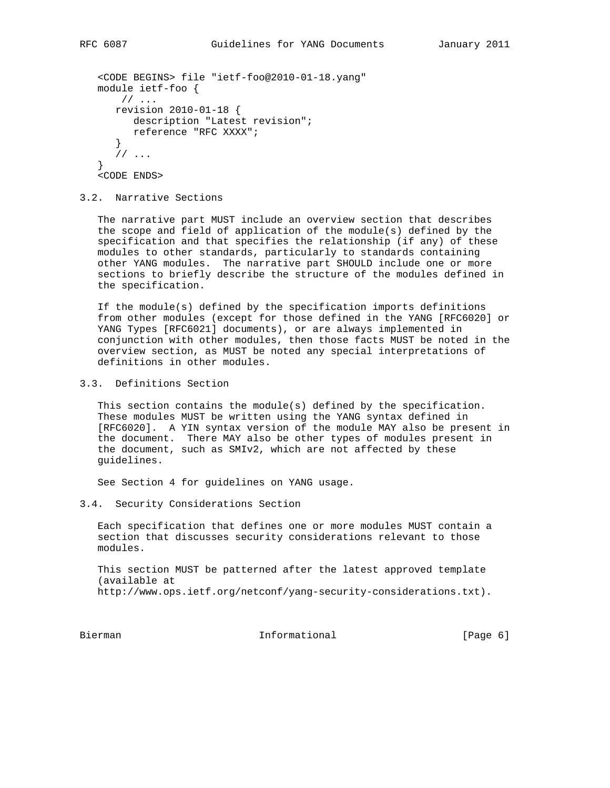```
 <CODE BEGINS> file "ietf-foo@2010-01-18.yang"
 module ietf-foo {
    // ...
    revision 2010-01-18 {
       description "Latest revision";
       reference "RFC XXXX";
    }
    // ...
 }
 <CODE ENDS>
```
## 3.2. Narrative Sections

 The narrative part MUST include an overview section that describes the scope and field of application of the module(s) defined by the specification and that specifies the relationship (if any) of these modules to other standards, particularly to standards containing other YANG modules. The narrative part SHOULD include one or more sections to briefly describe the structure of the modules defined in the specification.

 If the module(s) defined by the specification imports definitions from other modules (except for those defined in the YANG [RFC6020] or YANG Types [RFC6021] documents), or are always implemented in conjunction with other modules, then those facts MUST be noted in the overview section, as MUST be noted any special interpretations of definitions in other modules.

3.3. Definitions Section

 This section contains the module(s) defined by the specification. These modules MUST be written using the YANG syntax defined in [RFC6020]. A YIN syntax version of the module MAY also be present in the document. There MAY also be other types of modules present in the document, such as SMIv2, which are not affected by these guidelines.

See Section 4 for guidelines on YANG usage.

3.4. Security Considerations Section

 Each specification that defines one or more modules MUST contain a section that discusses security considerations relevant to those modules.

 This section MUST be patterned after the latest approved template (available at http://www.ops.ietf.org/netconf/yang-security-considerations.txt).

Bierman 11 - Informational 11 - Informational (Page 6)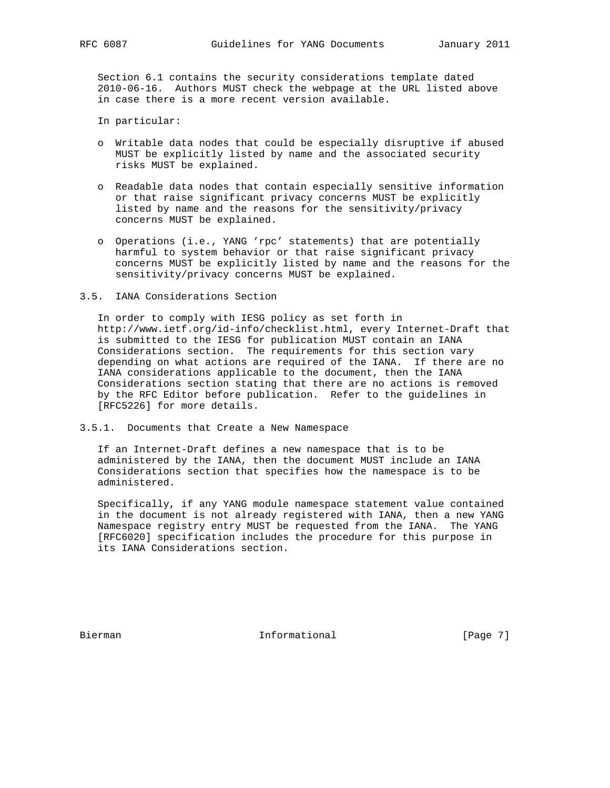Section 6.1 contains the security considerations template dated 2010-06-16. Authors MUST check the webpage at the URL listed above in case there is a more recent version available.

In particular:

- o Writable data nodes that could be especially disruptive if abused MUST be explicitly listed by name and the associated security risks MUST be explained.
- o Readable data nodes that contain especially sensitive information or that raise significant privacy concerns MUST be explicitly listed by name and the reasons for the sensitivity/privacy concerns MUST be explained.
- o Operations (i.e., YANG 'rpc' statements) that are potentially harmful to system behavior or that raise significant privacy concerns MUST be explicitly listed by name and the reasons for the sensitivity/privacy concerns MUST be explained.
- 3.5. IANA Considerations Section

 In order to comply with IESG policy as set forth in http://www.ietf.org/id-info/checklist.html, every Internet-Draft that is submitted to the IESG for publication MUST contain an IANA Considerations section. The requirements for this section vary depending on what actions are required of the IANA. If there are no IANA considerations applicable to the document, then the IANA Considerations section stating that there are no actions is removed by the RFC Editor before publication. Refer to the guidelines in [RFC5226] for more details.

3.5.1. Documents that Create a New Namespace

 If an Internet-Draft defines a new namespace that is to be administered by the IANA, then the document MUST include an IANA Considerations section that specifies how the namespace is to be administered.

 Specifically, if any YANG module namespace statement value contained in the document is not already registered with IANA, then a new YANG Namespace registry entry MUST be requested from the IANA. The YANG [RFC6020] specification includes the procedure for this purpose in its IANA Considerations section.

Bierman 10 Informational 1 [Page 7]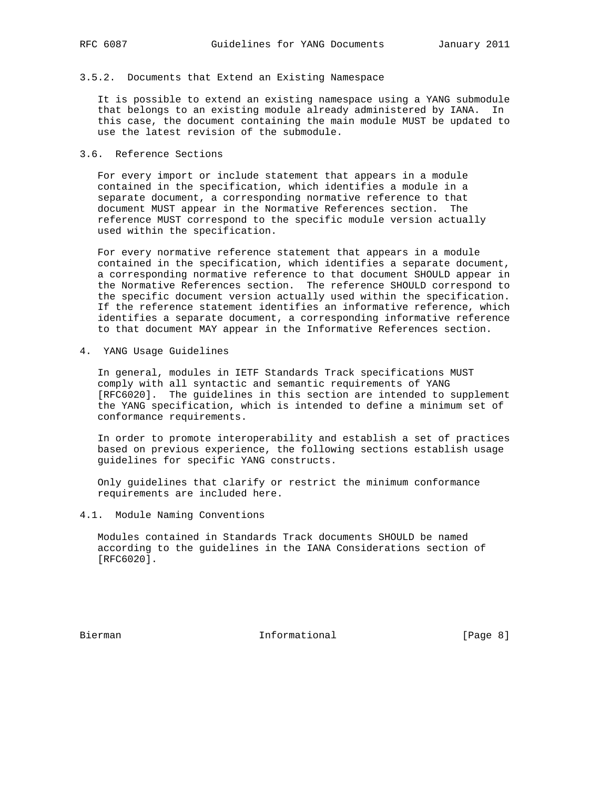### 3.5.2. Documents that Extend an Existing Namespace

 It is possible to extend an existing namespace using a YANG submodule that belongs to an existing module already administered by IANA. In this case, the document containing the main module MUST be updated to use the latest revision of the submodule.

# 3.6. Reference Sections

 For every import or include statement that appears in a module contained in the specification, which identifies a module in a separate document, a corresponding normative reference to that document MUST appear in the Normative References section. The reference MUST correspond to the specific module version actually used within the specification.

 For every normative reference statement that appears in a module contained in the specification, which identifies a separate document, a corresponding normative reference to that document SHOULD appear in the Normative References section. The reference SHOULD correspond to the specific document version actually used within the specification. If the reference statement identifies an informative reference, which identifies a separate document, a corresponding informative reference to that document MAY appear in the Informative References section.

4. YANG Usage Guidelines

 In general, modules in IETF Standards Track specifications MUST comply with all syntactic and semantic requirements of YANG [RFC6020]. The guidelines in this section are intended to supplement the YANG specification, which is intended to define a minimum set of conformance requirements.

 In order to promote interoperability and establish a set of practices based on previous experience, the following sections establish usage guidelines for specific YANG constructs.

 Only guidelines that clarify or restrict the minimum conformance requirements are included here.

4.1. Module Naming Conventions

 Modules contained in Standards Track documents SHOULD be named according to the guidelines in the IANA Considerations section of [RFC6020].

Bierman 11 - Informational 11 - Informational (Page 8)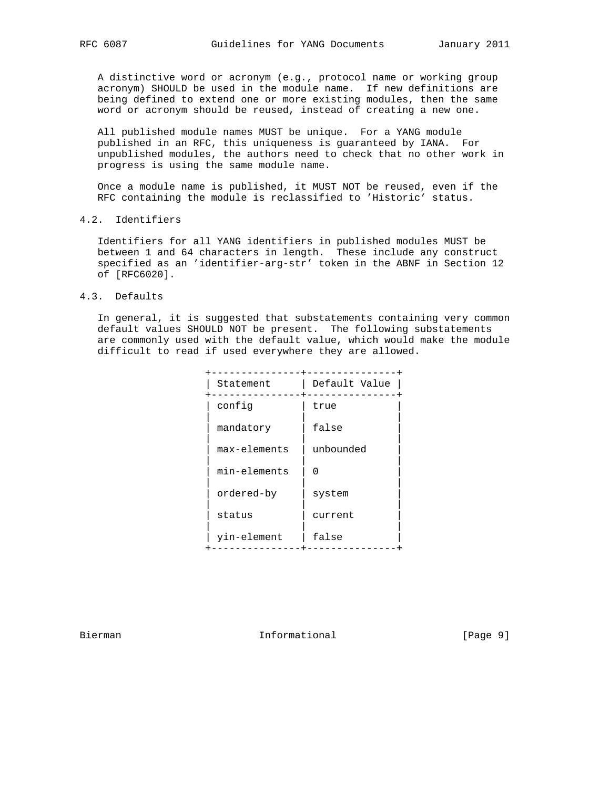A distinctive word or acronym (e.g., protocol name or working group acronym) SHOULD be used in the module name. If new definitions are being defined to extend one or more existing modules, then the same word or acronym should be reused, instead of creating a new one.

 All published module names MUST be unique. For a YANG module published in an RFC, this uniqueness is guaranteed by IANA. For unpublished modules, the authors need to check that no other work in progress is using the same module name.

 Once a module name is published, it MUST NOT be reused, even if the RFC containing the module is reclassified to 'Historic' status.

# 4.2. Identifiers

 Identifiers for all YANG identifiers in published modules MUST be between 1 and 64 characters in length. These include any construct specified as an 'identifier-arg-str' token in the ABNF in Section 12 of [RFC6020].

# 4.3. Defaults

 In general, it is suggested that substatements containing very common default values SHOULD NOT be present. The following substatements are commonly used with the default value, which would make the module difficult to read if used everywhere they are allowed.

| Statement    | Default Value |
|--------------|---------------|
| config       | true          |
| mandatory    | false         |
| max-elements | unbounded     |
| min-elements | U             |
| ordered-by   | system        |
| status       | current       |
| yin-element  | false         |
|              |               |

Bierman 10 Informational 1999 [Page 9]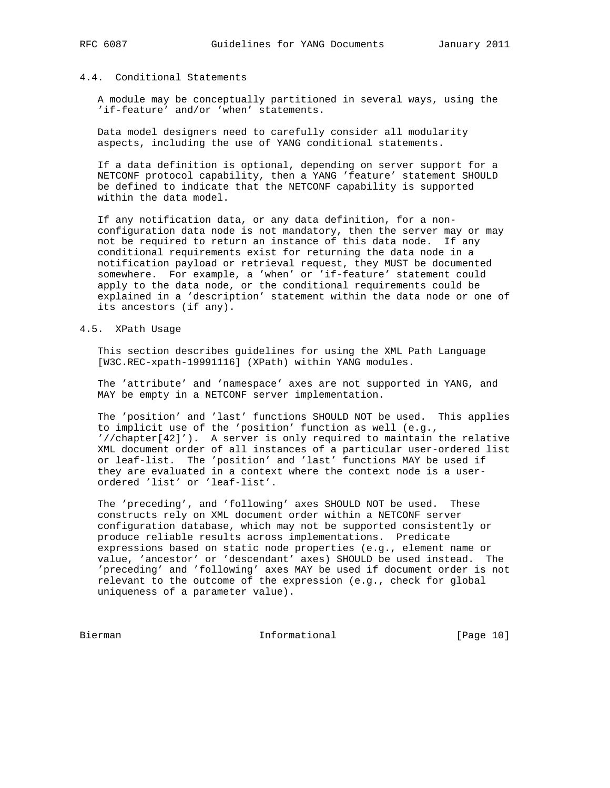#### 4.4. Conditional Statements

 A module may be conceptually partitioned in several ways, using the 'if-feature' and/or 'when' statements.

 Data model designers need to carefully consider all modularity aspects, including the use of YANG conditional statements.

 If a data definition is optional, depending on server support for a NETCONF protocol capability, then a YANG 'feature' statement SHOULD be defined to indicate that the NETCONF capability is supported within the data model.

 If any notification data, or any data definition, for a non configuration data node is not mandatory, then the server may or may not be required to return an instance of this data node. If any conditional requirements exist for returning the data node in a notification payload or retrieval request, they MUST be documented somewhere. For example, a 'when' or 'if-feature' statement could apply to the data node, or the conditional requirements could be explained in a 'description' statement within the data node or one of its ancestors (if any).

#### 4.5. XPath Usage

 This section describes guidelines for using the XML Path Language [W3C.REC-xpath-19991116] (XPath) within YANG modules.

 The 'attribute' and 'namespace' axes are not supported in YANG, and MAY be empty in a NETCONF server implementation.

 The 'position' and 'last' functions SHOULD NOT be used. This applies to implicit use of the 'position' function as well (e.g., '//chapter[42]'). A server is only required to maintain the relative XML document order of all instances of a particular user-ordered list or leaf-list. The 'position' and 'last' functions MAY be used if they are evaluated in a context where the context node is a user ordered 'list' or 'leaf-list'.

 The 'preceding', and 'following' axes SHOULD NOT be used. These constructs rely on XML document order within a NETCONF server configuration database, which may not be supported consistently or produce reliable results across implementations. Predicate expressions based on static node properties (e.g., element name or value, 'ancestor' or 'descendant' axes) SHOULD be used instead. The 'preceding' and 'following' axes MAY be used if document order is not relevant to the outcome of the expression (e.g., check for global uniqueness of a parameter value).

Bierman Informational [Page 10]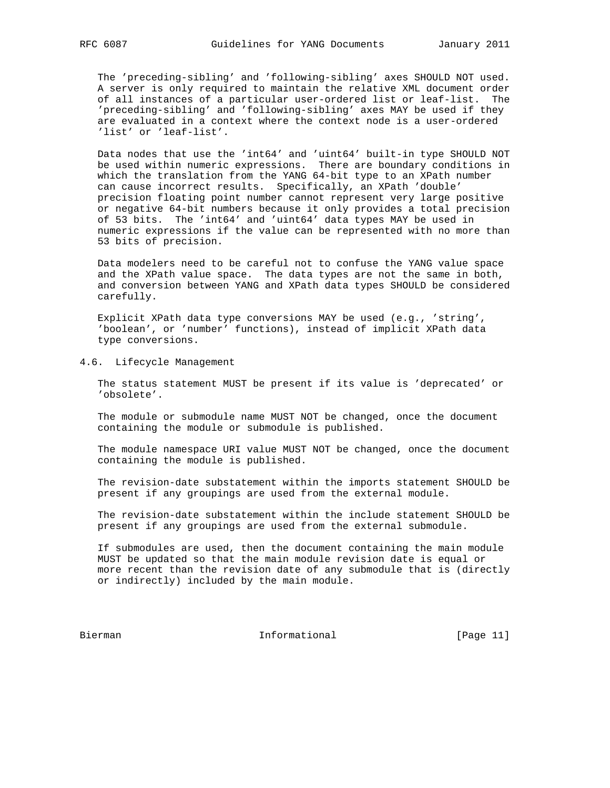The 'preceding-sibling' and 'following-sibling' axes SHOULD NOT used. A server is only required to maintain the relative XML document order of all instances of a particular user-ordered list or leaf-list. The 'preceding-sibling' and 'following-sibling' axes MAY be used if they are evaluated in a context where the context node is a user-ordered 'list' or 'leaf-list'.

 Data nodes that use the 'int64' and 'uint64' built-in type SHOULD NOT be used within numeric expressions. There are boundary conditions in which the translation from the YANG 64-bit type to an XPath number can cause incorrect results. Specifically, an XPath 'double' precision floating point number cannot represent very large positive or negative 64-bit numbers because it only provides a total precision of 53 bits. The 'int64' and 'uint64' data types MAY be used in numeric expressions if the value can be represented with no more than 53 bits of precision.

 Data modelers need to be careful not to confuse the YANG value space and the XPath value space. The data types are not the same in both, and conversion between YANG and XPath data types SHOULD be considered carefully.

 Explicit XPath data type conversions MAY be used (e.g., 'string', 'boolean', or 'number' functions), instead of implicit XPath data type conversions.

### 4.6. Lifecycle Management

 The status statement MUST be present if its value is 'deprecated' or 'obsolete'.

 The module or submodule name MUST NOT be changed, once the document containing the module or submodule is published.

 The module namespace URI value MUST NOT be changed, once the document containing the module is published.

 The revision-date substatement within the imports statement SHOULD be present if any groupings are used from the external module.

 The revision-date substatement within the include statement SHOULD be present if any groupings are used from the external submodule.

 If submodules are used, then the document containing the main module MUST be updated so that the main module revision date is equal or more recent than the revision date of any submodule that is (directly or indirectly) included by the main module.

Bierman **Informational** Informational [Page 11]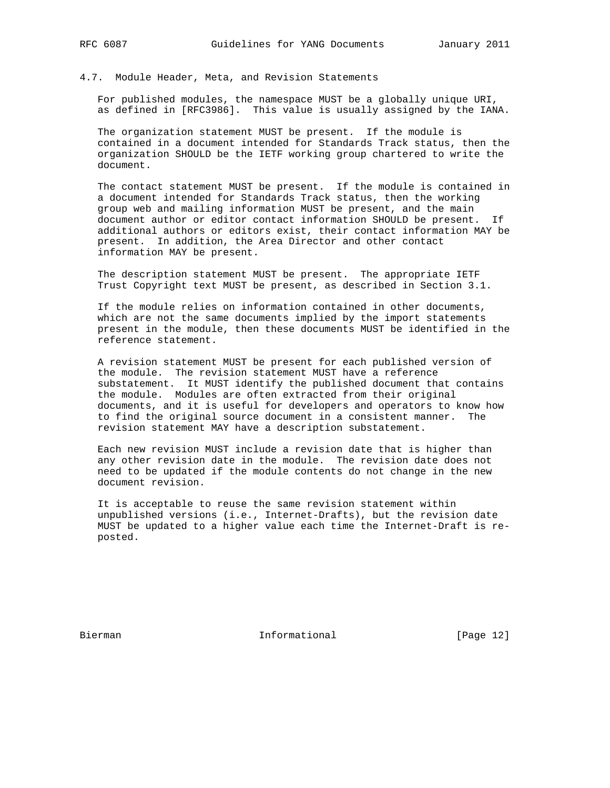# 4.7. Module Header, Meta, and Revision Statements

 For published modules, the namespace MUST be a globally unique URI, as defined in [RFC3986]. This value is usually assigned by the IANA.

 The organization statement MUST be present. If the module is contained in a document intended for Standards Track status, then the organization SHOULD be the IETF working group chartered to write the document.

 The contact statement MUST be present. If the module is contained in a document intended for Standards Track status, then the working group web and mailing information MUST be present, and the main document author or editor contact information SHOULD be present. If additional authors or editors exist, their contact information MAY be present. In addition, the Area Director and other contact information MAY be present.

 The description statement MUST be present. The appropriate IETF Trust Copyright text MUST be present, as described in Section 3.1.

 If the module relies on information contained in other documents, which are not the same documents implied by the import statements present in the module, then these documents MUST be identified in the reference statement.

 A revision statement MUST be present for each published version of the module. The revision statement MUST have a reference substatement. It MUST identify the published document that contains the module. Modules are often extracted from their original documents, and it is useful for developers and operators to know how to find the original source document in a consistent manner. The revision statement MAY have a description substatement.

 Each new revision MUST include a revision date that is higher than any other revision date in the module. The revision date does not need to be updated if the module contents do not change in the new document revision.

 It is acceptable to reuse the same revision statement within unpublished versions (i.e., Internet-Drafts), but the revision date MUST be updated to a higher value each time the Internet-Draft is re posted.

Bierman Informational [Page 12]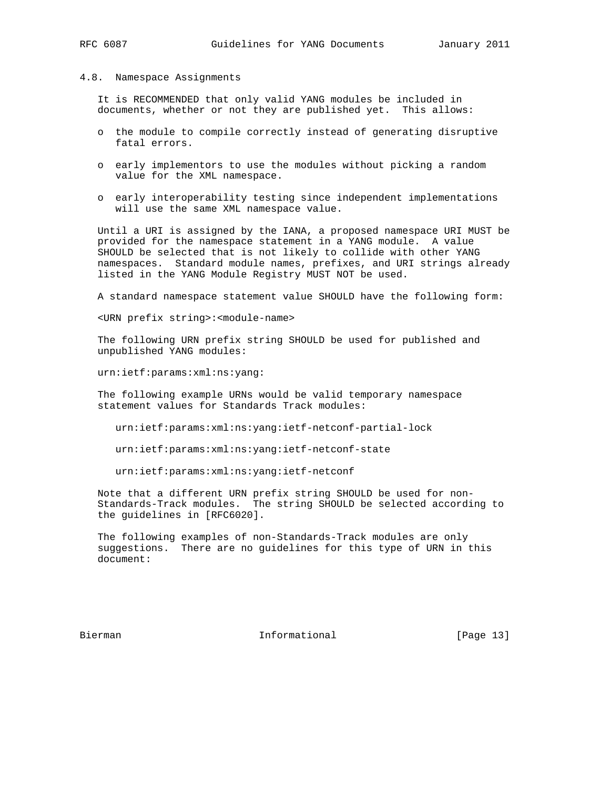#### 4.8. Namespace Assignments

 It is RECOMMENDED that only valid YANG modules be included in documents, whether or not they are published yet. This allows:

- o the module to compile correctly instead of generating disruptive fatal errors.
- o early implementors to use the modules without picking a random value for the XML namespace.
- o early interoperability testing since independent implementations will use the same XML namespace value.

 Until a URI is assigned by the IANA, a proposed namespace URI MUST be provided for the namespace statement in a YANG module. A value SHOULD be selected that is not likely to collide with other YANG namespaces. Standard module names, prefixes, and URI strings already listed in the YANG Module Registry MUST NOT be used.

A standard namespace statement value SHOULD have the following form:

<URN prefix string>:<module-name>

 The following URN prefix string SHOULD be used for published and unpublished YANG modules:

urn:ietf:params:xml:ns:yang:

 The following example URNs would be valid temporary namespace statement values for Standards Track modules:

urn:ietf:params:xml:ns:yang:ietf-netconf-partial-lock

urn:ietf:params:xml:ns:yang:ietf-netconf-state

urn:ietf:params:xml:ns:yang:ietf-netconf

 Note that a different URN prefix string SHOULD be used for non- Standards-Track modules. The string SHOULD be selected according to the guidelines in [RFC6020].

 The following examples of non-Standards-Track modules are only suggestions. There are no guidelines for this type of URN in this document:

Bierman 10 Informational [Page 13]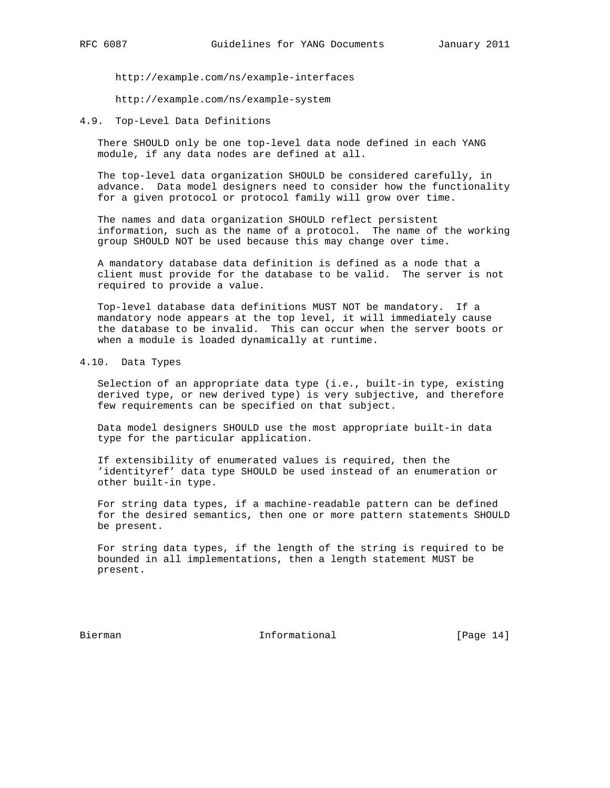http://example.com/ns/example-interfaces

http://example.com/ns/example-system

4.9. Top-Level Data Definitions

 There SHOULD only be one top-level data node defined in each YANG module, if any data nodes are defined at all.

 The top-level data organization SHOULD be considered carefully, in advance. Data model designers need to consider how the functionality for a given protocol or protocol family will grow over time.

 The names and data organization SHOULD reflect persistent information, such as the name of a protocol. The name of the working group SHOULD NOT be used because this may change over time.

 A mandatory database data definition is defined as a node that a client must provide for the database to be valid. The server is not required to provide a value.

 Top-level database data definitions MUST NOT be mandatory. If a mandatory node appears at the top level, it will immediately cause the database to be invalid. This can occur when the server boots or when a module is loaded dynamically at runtime.

4.10. Data Types

 Selection of an appropriate data type (i.e., built-in type, existing derived type, or new derived type) is very subjective, and therefore few requirements can be specified on that subject.

 Data model designers SHOULD use the most appropriate built-in data type for the particular application.

 If extensibility of enumerated values is required, then the 'identityref' data type SHOULD be used instead of an enumeration or other built-in type.

 For string data types, if a machine-readable pattern can be defined for the desired semantics, then one or more pattern statements SHOULD be present.

 For string data types, if the length of the string is required to be bounded in all implementations, then a length statement MUST be present.

Bierman 10 Informational [Page 14]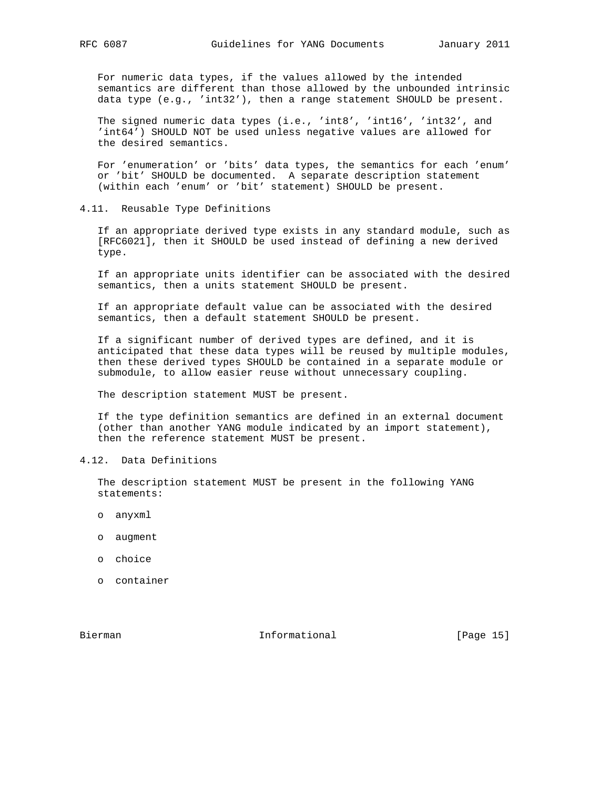For numeric data types, if the values allowed by the intended semantics are different than those allowed by the unbounded intrinsic data type (e.g., 'int32'), then a range statement SHOULD be present.

The signed numeric data types (i.e., 'int8', 'int16', 'int32', and 'int64') SHOULD NOT be used unless negative values are allowed for the desired semantics.

 For 'enumeration' or 'bits' data types, the semantics for each 'enum' or 'bit' SHOULD be documented. A separate description statement (within each 'enum' or 'bit' statement) SHOULD be present.

4.11. Reusable Type Definitions

 If an appropriate derived type exists in any standard module, such as [RFC6021], then it SHOULD be used instead of defining a new derived type.

 If an appropriate units identifier can be associated with the desired semantics, then a units statement SHOULD be present.

 If an appropriate default value can be associated with the desired semantics, then a default statement SHOULD be present.

 If a significant number of derived types are defined, and it is anticipated that these data types will be reused by multiple modules, then these derived types SHOULD be contained in a separate module or submodule, to allow easier reuse without unnecessary coupling.

The description statement MUST be present.

 If the type definition semantics are defined in an external document (other than another YANG module indicated by an import statement), then the reference statement MUST be present.

4.12. Data Definitions

 The description statement MUST be present in the following YANG statements:

- o anyxml
- o augment
- o choice
- o container

Bierman 10 Informational [Page 15]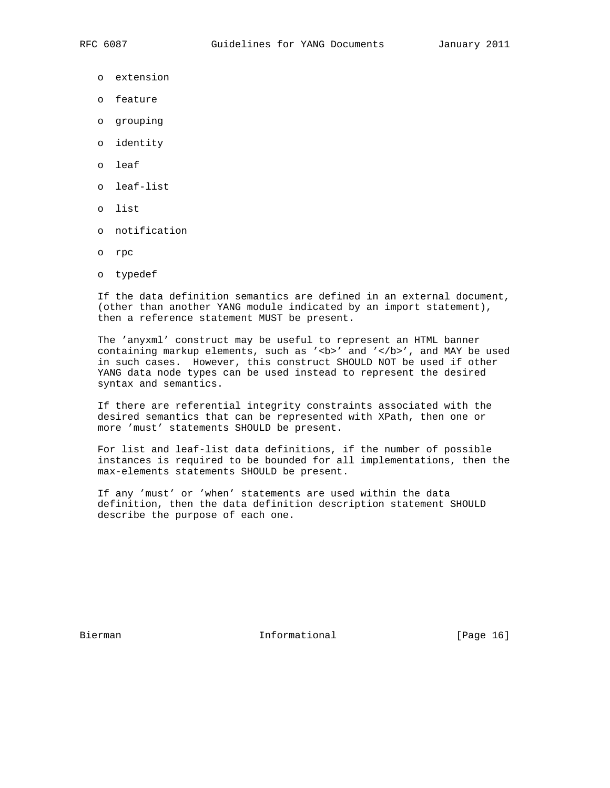- o extension
- o feature
- o grouping
- o identity
- o leaf
- o leaf-list
- o list
- o notification
- o rpc
- o typedef

 If the data definition semantics are defined in an external document, (other than another YANG module indicated by an import statement), then a reference statement MUST be present.

 The 'anyxml' construct may be useful to represent an HTML banner containing markup elements, such as '<b>' and '</b>', and MAY be used in such cases. However, this construct SHOULD NOT be used if other YANG data node types can be used instead to represent the desired syntax and semantics.

 If there are referential integrity constraints associated with the desired semantics that can be represented with XPath, then one or more 'must' statements SHOULD be present.

 For list and leaf-list data definitions, if the number of possible instances is required to be bounded for all implementations, then the max-elements statements SHOULD be present.

 If any 'must' or 'when' statements are used within the data definition, then the data definition description statement SHOULD describe the purpose of each one.

Bierman 10 Informational [Page 16]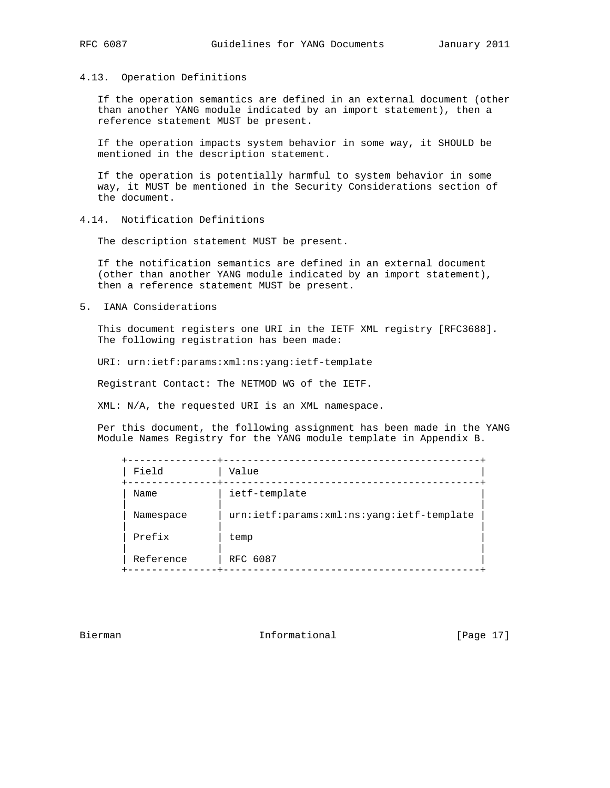### 4.13. Operation Definitions

 If the operation semantics are defined in an external document (other than another YANG module indicated by an import statement), then a reference statement MUST be present.

 If the operation impacts system behavior in some way, it SHOULD be mentioned in the description statement.

 If the operation is potentially harmful to system behavior in some way, it MUST be mentioned in the Security Considerations section of the document.

4.14. Notification Definitions

The description statement MUST be present.

 If the notification semantics are defined in an external document (other than another YANG module indicated by an import statement), then a reference statement MUST be present.

5. IANA Considerations

 This document registers one URI in the IETF XML registry [RFC3688]. The following registration has been made:

URI: urn:ietf:params:xml:ns:yang:ietf-template

Registrant Contact: The NETMOD WG of the IETF.

XML: N/A, the requested URI is an XML namespace.

 Per this document, the following assignment has been made in the YANG Module Names Registry for the YANG module template in Appendix B.

| Field     | Value                                     |  |
|-----------|-------------------------------------------|--|
| Name      | ietf-template                             |  |
| Namespace | urn:ietf:params:xml:ns:yang:ietf-template |  |
| Prefix    | temp                                      |  |
| Reference | RFC 6087                                  |  |

Bierman 10 Informational [Page 17]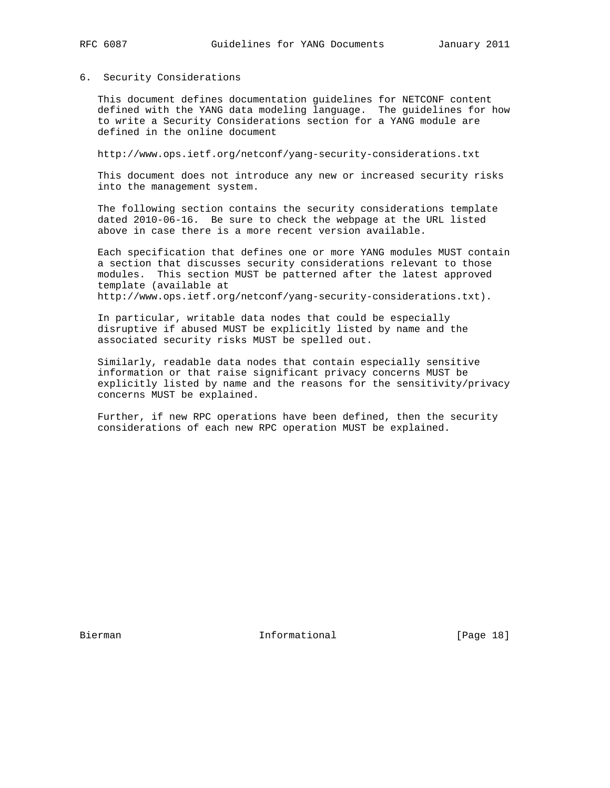# 6. Security Considerations

 This document defines documentation guidelines for NETCONF content defined with the YANG data modeling language. The guidelines for how to write a Security Considerations section for a YANG module are defined in the online document

http://www.ops.ietf.org/netconf/yang-security-considerations.txt

 This document does not introduce any new or increased security risks into the management system.

 The following section contains the security considerations template dated 2010-06-16. Be sure to check the webpage at the URL listed above in case there is a more recent version available.

 Each specification that defines one or more YANG modules MUST contain a section that discusses security considerations relevant to those modules. This section MUST be patterned after the latest approved template (available at http://www.ops.ietf.org/netconf/yang-security-considerations.txt).

 In particular, writable data nodes that could be especially disruptive if abused MUST be explicitly listed by name and the associated security risks MUST be spelled out.

 Similarly, readable data nodes that contain especially sensitive information or that raise significant privacy concerns MUST be explicitly listed by name and the reasons for the sensitivity/privacy concerns MUST be explained.

 Further, if new RPC operations have been defined, then the security considerations of each new RPC operation MUST be explained.

Bierman 10 Informational [Page 18]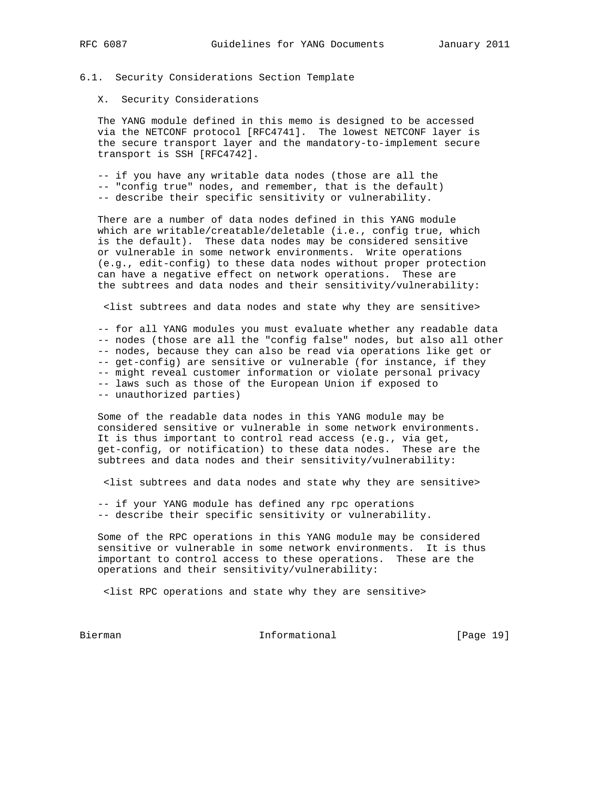# 6.1. Security Considerations Section Template

## X. Security Considerations

 The YANG module defined in this memo is designed to be accessed via the NETCONF protocol [RFC4741]. The lowest NETCONF layer is the secure transport layer and the mandatory-to-implement secure transport is SSH [RFC4742].

 -- if you have any writable data nodes (those are all the -- "config true" nodes, and remember, that is the default) -- describe their specific sensitivity or vulnerability.

 There are a number of data nodes defined in this YANG module which are writable/creatable/deletable (i.e., config true, which is the default). These data nodes may be considered sensitive or vulnerable in some network environments. Write operations (e.g., edit-config) to these data nodes without proper protection can have a negative effect on network operations. These are the subtrees and data nodes and their sensitivity/vulnerability:

<list subtrees and data nodes and state why they are sensitive>

 -- for all YANG modules you must evaluate whether any readable data -- nodes (those are all the "config false" nodes, but also all other -- nodes, because they can also be read via operations like get or -- get-config) are sensitive or vulnerable (for instance, if they -- might reveal customer information or violate personal privacy -- laws such as those of the European Union if exposed to -- unauthorized parties)

 Some of the readable data nodes in this YANG module may be considered sensitive or vulnerable in some network environments. It is thus important to control read access (e.g., via get, get-config, or notification) to these data nodes. These are the subtrees and data nodes and their sensitivity/vulnerability:

<list subtrees and data nodes and state why they are sensitive>

 -- if your YANG module has defined any rpc operations -- describe their specific sensitivity or vulnerability.

 Some of the RPC operations in this YANG module may be considered sensitive or vulnerable in some network environments. It is thus important to control access to these operations. These are the operations and their sensitivity/vulnerability:

<list RPC operations and state why they are sensitive>

Bierman **Informational** [Page 19]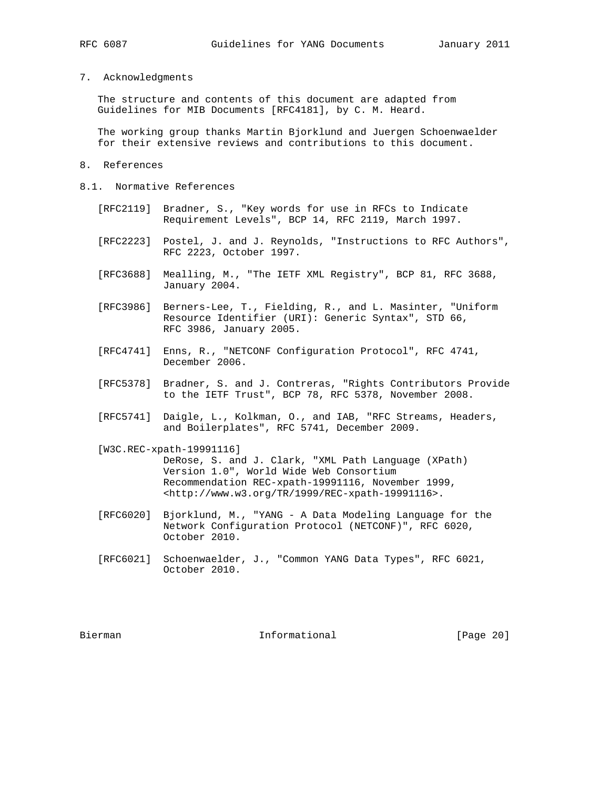#### 7. Acknowledgments

 The structure and contents of this document are adapted from Guidelines for MIB Documents [RFC4181], by C. M. Heard.

 The working group thanks Martin Bjorklund and Juergen Schoenwaelder for their extensive reviews and contributions to this document.

- 8. References
- 8.1. Normative References
	- [RFC2119] Bradner, S., "Key words for use in RFCs to Indicate Requirement Levels", BCP 14, RFC 2119, March 1997.
	- [RFC2223] Postel, J. and J. Reynolds, "Instructions to RFC Authors", RFC 2223, October 1997.
	- [RFC3688] Mealling, M., "The IETF XML Registry", BCP 81, RFC 3688, January 2004.
	- [RFC3986] Berners-Lee, T., Fielding, R., and L. Masinter, "Uniform Resource Identifier (URI): Generic Syntax", STD 66, RFC 3986, January 2005.
	- [RFC4741] Enns, R., "NETCONF Configuration Protocol", RFC 4741, December 2006.
	- [RFC5378] Bradner, S. and J. Contreras, "Rights Contributors Provide to the IETF Trust", BCP 78, RFC 5378, November 2008.
	- [RFC5741] Daigle, L., Kolkman, O., and IAB, "RFC Streams, Headers, and Boilerplates", RFC 5741, December 2009.

 [W3C.REC-xpath-19991116] DeRose, S. and J. Clark, "XML Path Language (XPath) Version 1.0", World Wide Web Consortium Recommendation REC-xpath-19991116, November 1999, <http://www.w3.org/TR/1999/REC-xpath-19991116>.

- [RFC6020] Bjorklund, M., "YANG A Data Modeling Language for the Network Configuration Protocol (NETCONF)", RFC 6020, October 2010.
- [RFC6021] Schoenwaelder, J., "Common YANG Data Types", RFC 6021, October 2010.

Bierman 10 Informational [Page 20]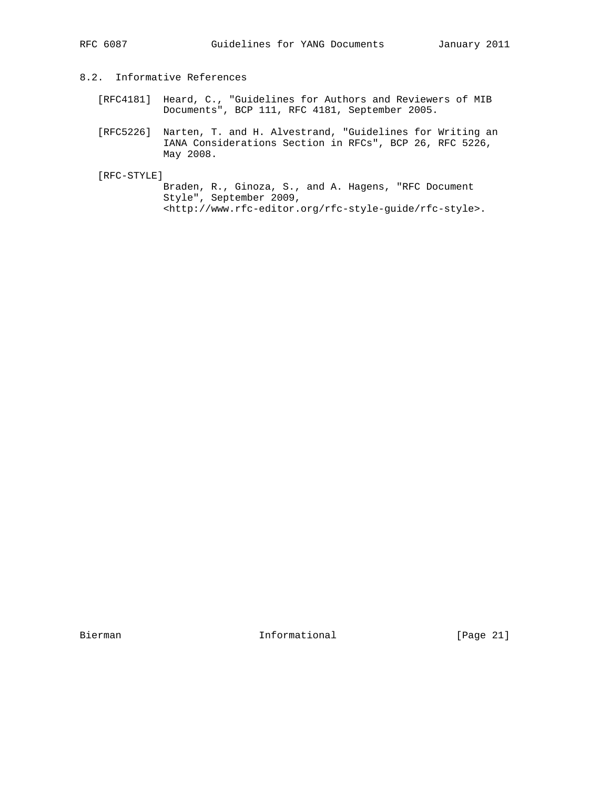# 8.2. Informative References

- [RFC4181] Heard, C., "Guidelines for Authors and Reviewers of MIB Documents", BCP 111, RFC 4181, September 2005.
	- [RFC5226] Narten, T. and H. Alvestrand, "Guidelines for Writing an IANA Considerations Section in RFCs", BCP 26, RFC 5226, May 2008.

[RFC-STYLE]

 Braden, R., Ginoza, S., and A. Hagens, "RFC Document Style", September 2009, <http://www.rfc-editor.org/rfc-style-guide/rfc-style>.

Bierman Informational [Page 21]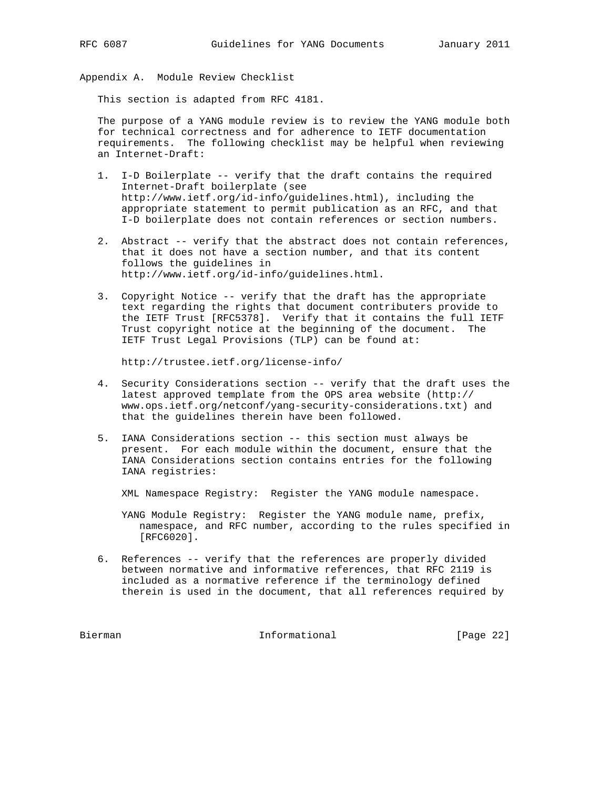Appendix A. Module Review Checklist

This section is adapted from RFC 4181.

 The purpose of a YANG module review is to review the YANG module both for technical correctness and for adherence to IETF documentation requirements. The following checklist may be helpful when reviewing an Internet-Draft:

- 1. I-D Boilerplate -- verify that the draft contains the required Internet-Draft boilerplate (see http://www.ietf.org/id-info/guidelines.html), including the appropriate statement to permit publication as an RFC, and that I-D boilerplate does not contain references or section numbers.
- 2. Abstract -- verify that the abstract does not contain references, that it does not have a section number, and that its content follows the guidelines in http://www.ietf.org/id-info/guidelines.html.
- 3. Copyright Notice -- verify that the draft has the appropriate text regarding the rights that document contributers provide to the IETF Trust [RFC5378]. Verify that it contains the full IETF Trust copyright notice at the beginning of the document. The IETF Trust Legal Provisions (TLP) can be found at:

http://trustee.ietf.org/license-info/

- 4. Security Considerations section -- verify that the draft uses the latest approved template from the OPS area website (http:// www.ops.ietf.org/netconf/yang-security-considerations.txt) and that the guidelines therein have been followed.
- 5. IANA Considerations section -- this section must always be present. For each module within the document, ensure that the IANA Considerations section contains entries for the following IANA registries:

XML Namespace Registry: Register the YANG module namespace.

 YANG Module Registry: Register the YANG module name, prefix, namespace, and RFC number, according to the rules specified in [RFC6020].

 6. References -- verify that the references are properly divided between normative and informative references, that RFC 2119 is included as a normative reference if the terminology defined therein is used in the document, that all references required by

Bierman **Informational** Informational [Page 22]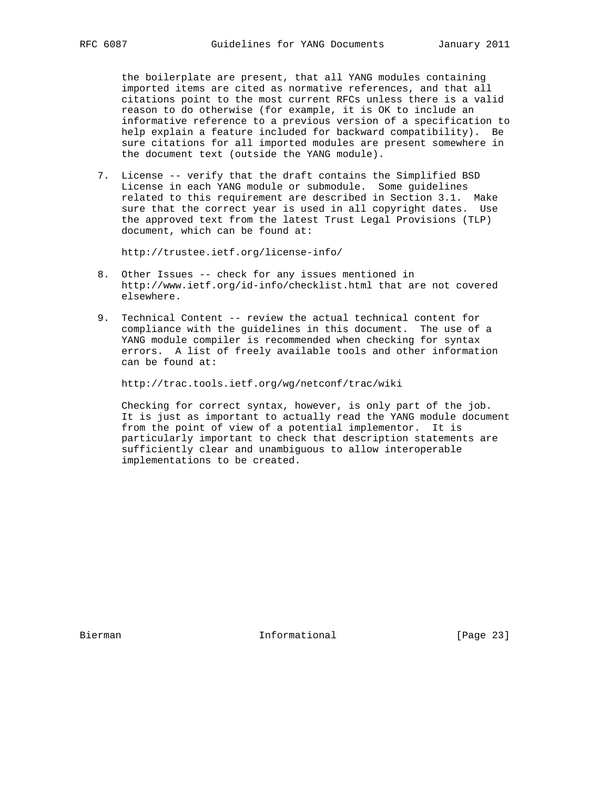the boilerplate are present, that all YANG modules containing imported items are cited as normative references, and that all citations point to the most current RFCs unless there is a valid reason to do otherwise (for example, it is OK to include an informative reference to a previous version of a specification to help explain a feature included for backward compatibility). Be sure citations for all imported modules are present somewhere in the document text (outside the YANG module).

 7. License -- verify that the draft contains the Simplified BSD License in each YANG module or submodule. Some guidelines related to this requirement are described in Section 3.1. Make sure that the correct year is used in all copyright dates. Use the approved text from the latest Trust Legal Provisions (TLP) document, which can be found at:

http://trustee.ietf.org/license-info/

- 8. Other Issues -- check for any issues mentioned in http://www.ietf.org/id-info/checklist.html that are not covered elsewhere.
- 9. Technical Content -- review the actual technical content for compliance with the guidelines in this document. The use of a YANG module compiler is recommended when checking for syntax errors. A list of freely available tools and other information can be found at:

http://trac.tools.ietf.org/wg/netconf/trac/wiki

 Checking for correct syntax, however, is only part of the job. It is just as important to actually read the YANG module document from the point of view of a potential implementor. It is particularly important to check that description statements are sufficiently clear and unambiguous to allow interoperable implementations to be created.

Bierman Informational [Page 23]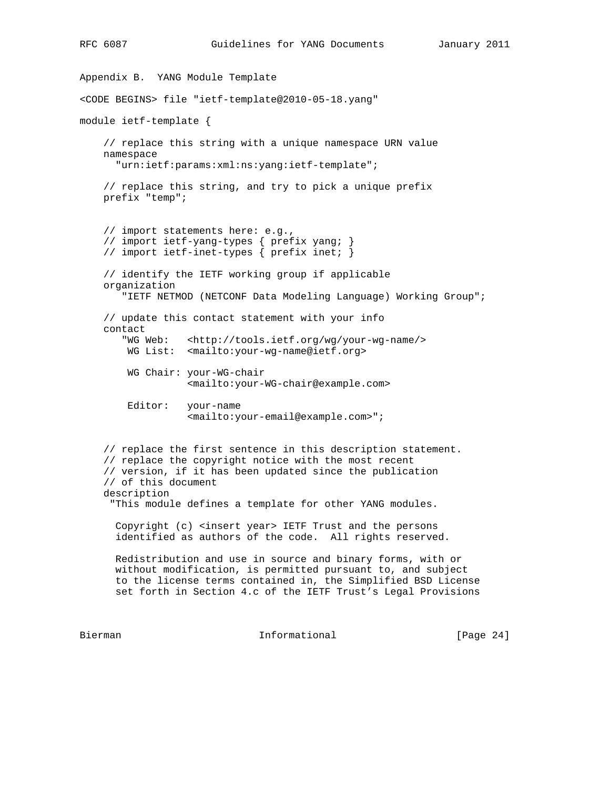```
Appendix B. YANG Module Template
<CODE BEGINS> file "ietf-template@2010-05-18.yang"
module ietf-template {
     // replace this string with a unique namespace URN value
     namespace
       "urn:ietf:params:xml:ns:yang:ietf-template";
     // replace this string, and try to pick a unique prefix
     prefix "temp";
     // import statements here: e.g.,
     // import ietf-yang-types { prefix yang; }
     // import ietf-inet-types { prefix inet; }
     // identify the IETF working group if applicable
     organization
        "IETF NETMOD (NETCONF Data Modeling Language) Working Group";
     // update this contact statement with your info
     contact
        "WG Web: <http://tools.ietf.org/wg/your-wg-name/>
        WG List: <mailto:your-wg-name@ietf.org>
        WG Chair: your-WG-chair
                   <mailto:your-WG-chair@example.com>
         Editor: your-name
                   <mailto:your-email@example.com>";
     // replace the first sentence in this description statement.
     // replace the copyright notice with the most recent
     // version, if it has been updated since the publication
     // of this document
     description
      "This module defines a template for other YANG modules.
       Copyright (c) <insert year> IETF Trust and the persons
       identified as authors of the code. All rights reserved.
       Redistribution and use in source and binary forms, with or
      without modification, is permitted pursuant to, and subject
       to the license terms contained in, the Simplified BSD License
       set forth in Section 4.c of the IETF Trust's Legal Provisions
Bierman 11 Informational [Page 24]
```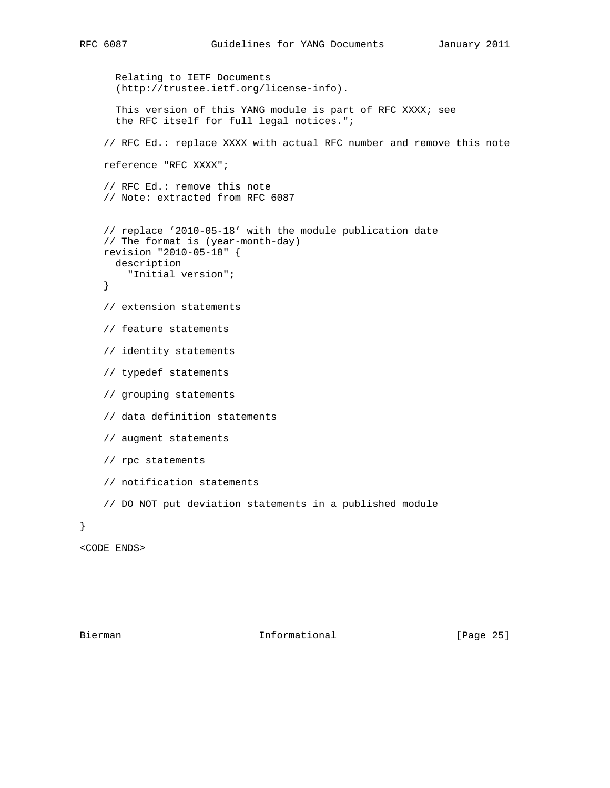```
 Relating to IETF Documents
       (http://trustee.ietf.org/license-info).
      This version of this YANG module is part of RFC XXXX; see
       the RFC itself for full legal notices.";
     // RFC Ed.: replace XXXX with actual RFC number and remove this note
     reference "RFC XXXX";
     // RFC Ed.: remove this note
     // Note: extracted from RFC 6087
     // replace '2010-05-18' with the module publication date
     // The format is (year-month-day)
    revision "2010-05-18" {
      description
        "Initial version";
     }
     // extension statements
     // feature statements
     // identity statements
     // typedef statements
     // grouping statements
     // data definition statements
     // augment statements
     // rpc statements
     // notification statements
     // DO NOT put deviation statements in a published module
<CODE ENDS>
```
}

Bierman 10 Informational [Page 25]